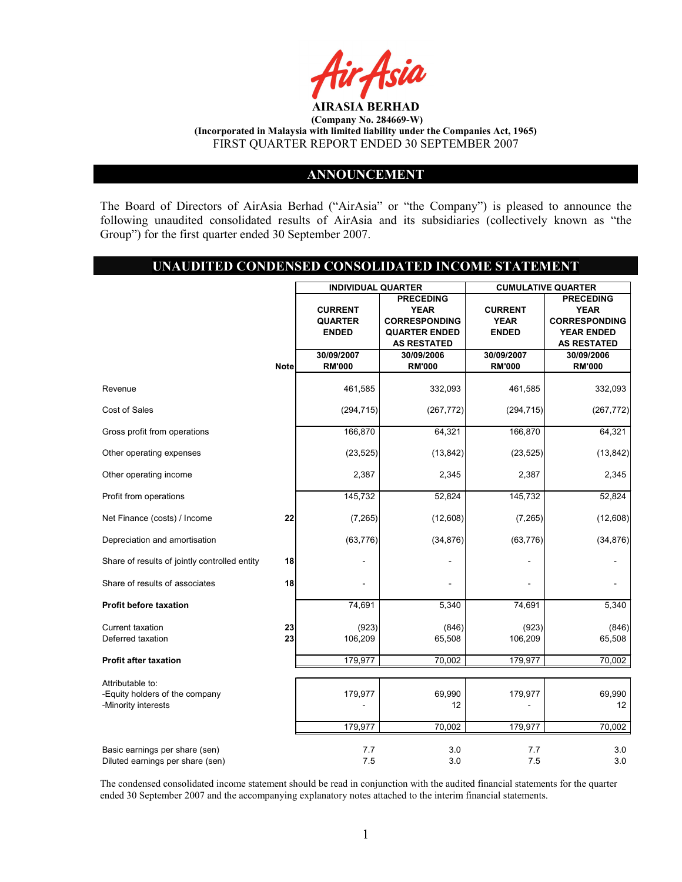

# ANNOUNCEMENT

The Board of Directors of AirAsia Berhad ("AirAsia" or "the Company") is pleased to announce the following unaudited consolidated results of AirAsia and its subsidiaries (collectively known as "the Group") for the first quarter ended 30 September 2007.

# UNAUDITED CONDENSED CONSOLIDATED INCOME STATEMENT

|                                                                    |             | <b>INDIVIDUAL QUARTER</b> |                      | <b>CUMULATIVE QUARTER</b> |                      |  |
|--------------------------------------------------------------------|-------------|---------------------------|----------------------|---------------------------|----------------------|--|
|                                                                    |             | <b>PRECEDING</b>          |                      |                           | <b>PRECEDING</b>     |  |
|                                                                    |             | <b>CURRENT</b>            | <b>YEAR</b>          | <b>CURRENT</b>            | <b>YEAR</b>          |  |
|                                                                    |             | <b>QUARTER</b>            | <b>CORRESPONDING</b> | <b>YEAR</b>               | <b>CORRESPONDING</b> |  |
|                                                                    |             | <b>ENDED</b>              | <b>QUARTER ENDED</b> | <b>ENDED</b>              | <b>YEAR ENDED</b>    |  |
|                                                                    |             |                           | <b>AS RESTATED</b>   |                           | <b>AS RESTATED</b>   |  |
|                                                                    |             | 30/09/2007                | 30/09/2006           | 30/09/2007                | 30/09/2006           |  |
|                                                                    | <b>Note</b> | <b>RM'000</b>             | <b>RM'000</b>        | <b>RM'000</b>             | <b>RM'000</b>        |  |
| Revenue                                                            |             | 461,585                   | 332,093              | 461,585                   | 332,093              |  |
| Cost of Sales                                                      |             | (294, 715)                | (267, 772)           | (294, 715)                | (267, 772)           |  |
| Gross profit from operations                                       |             | 166,870                   | 64,321               | 166,870                   | 64,321               |  |
| Other operating expenses                                           |             | (23, 525)                 | (13, 842)            | (23, 525)                 | (13, 842)            |  |
| Other operating income                                             |             | 2,387                     | 2,345                | 2,387                     | 2,345                |  |
| Profit from operations                                             |             | 145,732                   | 52,824               | 145,732                   | 52,824               |  |
| Net Finance (costs) / Income                                       | 22          | (7, 265)                  | (12,608)             | (7, 265)                  | (12,608)             |  |
| Depreciation and amortisation                                      |             | (63, 776)                 | (34, 876)            | (63, 776)                 | (34, 876)            |  |
| Share of results of jointly controlled entity                      | 18          |                           |                      |                           |                      |  |
| Share of results of associates                                     | 18          |                           |                      |                           |                      |  |
| <b>Profit before taxation</b>                                      |             | 74,691                    | 5,340                | 74,691                    | 5,340                |  |
| Current taxation                                                   | 23          | (923)                     | (846)                | (923)                     | (846)                |  |
| Deferred taxation                                                  | 23          | 106,209                   | 65,508               | 106,209                   | 65,508               |  |
| <b>Profit after taxation</b>                                       |             | 179,977                   | 70,002               | 179,977                   | 70,002               |  |
| Attributable to:                                                   |             |                           |                      |                           |                      |  |
| -Equity holders of the company<br>-Minority interests              |             | 179,977                   | 69,990<br>12         | 179,977                   | 69,990<br>12         |  |
|                                                                    |             | 179,977                   | 70,002               | 179,977                   | 70,002               |  |
| Basic earnings per share (sen)<br>Diluted earnings per share (sen) |             | 7.7<br>7.5                | 3.0<br>3.0           | 7.7<br>7.5                | 3.0<br>3.0           |  |

The condensed consolidated income statement should be read in conjunction with the audited financial statements for the quarter ended 30 September 2007 and the accompanying explanatory notes attached to the interim financial statements.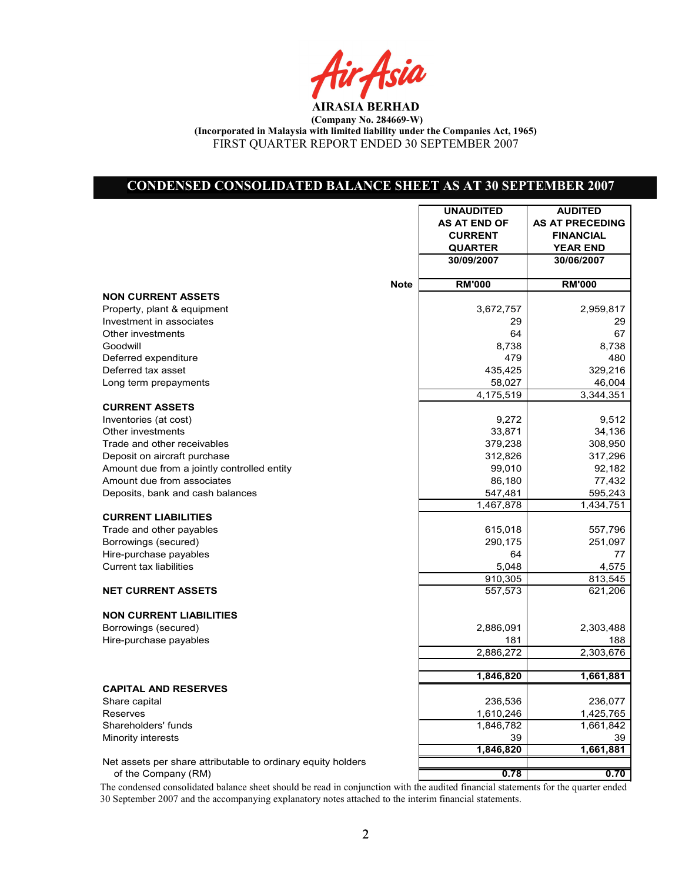Air Asia

# CONDENSED CONSOLIDATED BALANCE SHEET AS AT 30 SEPTEMBER 2007

|                                                              |             | <b>UNAUDITED</b>    | <b>AUDITED</b>         |
|--------------------------------------------------------------|-------------|---------------------|------------------------|
|                                                              |             | <b>AS AT END OF</b> | <b>AS AT PRECEDING</b> |
|                                                              |             | <b>CURRENT</b>      | <b>FINANCIAL</b>       |
|                                                              |             | <b>QUARTER</b>      | <b>YEAR END</b>        |
|                                                              |             | 30/09/2007          | 30/06/2007             |
|                                                              | <b>Note</b> | <b>RM'000</b>       | <b>RM'000</b>          |
| <b>NON CURRENT ASSETS</b>                                    |             |                     |                        |
| Property, plant & equipment                                  |             | 3,672,757           | 2,959,817              |
| Investment in associates                                     |             | 29                  | 29                     |
| Other investments                                            |             | 64                  | 67                     |
| Goodwill                                                     |             | 8,738               | 8,738                  |
| Deferred expenditure                                         |             | 479                 | 480                    |
| Deferred tax asset                                           |             | 435,425             | 329,216                |
| Long term prepayments                                        |             | 58,027              | 46,004                 |
|                                                              |             | 4,175,519           | 3,344,351              |
| <b>CURRENT ASSETS</b>                                        |             |                     |                        |
| Inventories (at cost)                                        |             | 9,272               | 9,512                  |
| Other investments                                            |             | 33,871              | 34,136                 |
| Trade and other receivables                                  |             | 379,238             | 308,950                |
| Deposit on aircraft purchase                                 |             | 312,826             | 317,296                |
| Amount due from a jointly controlled entity                  |             | 99,010              | 92,182                 |
| Amount due from associates                                   |             | 86,180              | 77,432                 |
| Deposits, bank and cash balances                             |             | 547,481             | 595,243                |
|                                                              |             | 1,467,878           | 1,434,751              |
| <b>CURRENT LIABILITIES</b>                                   |             |                     |                        |
| Trade and other payables                                     |             | 615,018             | 557,796                |
| Borrowings (secured)                                         |             | 290,175             | 251,097                |
| Hire-purchase payables                                       |             | 64                  | 77                     |
| <b>Current tax liabilities</b>                               |             | 5,048               | 4,575                  |
|                                                              |             | 910,305             | 813,545                |
| <b>NET CURRENT ASSETS</b>                                    |             | 557,573             | 621,206                |
| <b>NON CURRENT LIABILITIES</b>                               |             |                     |                        |
| Borrowings (secured)                                         |             | 2,886,091           | 2,303,488              |
| Hire-purchase payables                                       |             | 181                 | 188                    |
|                                                              |             | 2,886,272           | 2,303,676              |
|                                                              |             | 1,846,820           | 1,661,881              |
| <b>CAPITAL AND RESERVES</b>                                  |             |                     |                        |
| Share capital                                                |             | 236,536             | 236,077                |
| Reserves                                                     |             | 1,610,246           | 1,425,765              |
| Shareholders' funds                                          |             | 1,846,782           | 1,661,842              |
| Minority interests                                           |             | 39                  | 39                     |
|                                                              |             | 1,846,820           | 1,661,881              |
| Net assets per share attributable to ordinary equity holders |             |                     |                        |
| of the Company (RM)                                          |             | 0.78                | 0.70                   |

The condensed consolidated balance sheet should be read in conjunction with the audited financial statements for the quarter ended 30 September 2007 and the accompanying explanatory notes attached to the interim financial statements.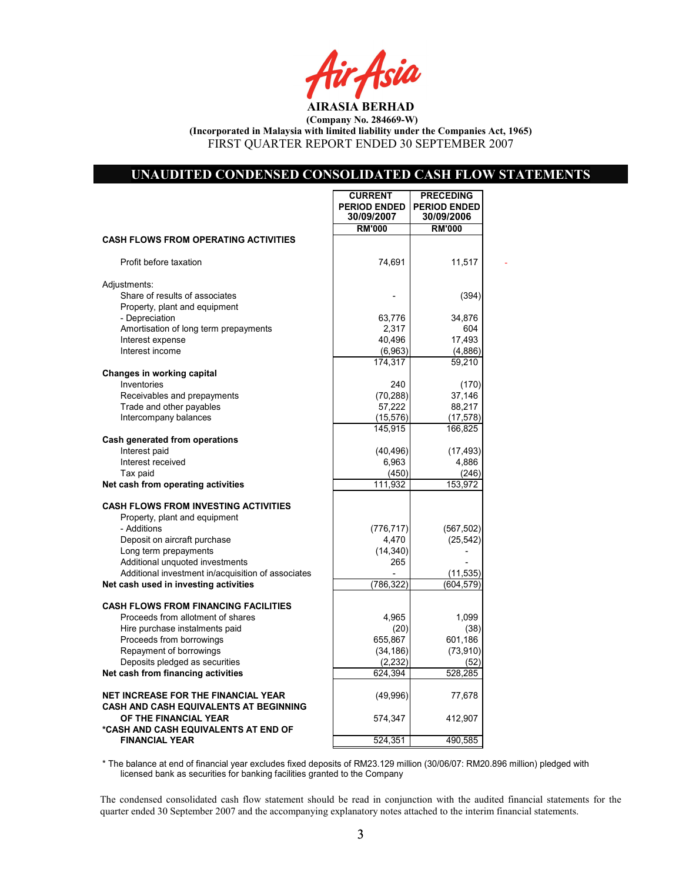r Asia

### UNAUDITED CONDENSED CONSOLIDATED CASH FLOW STATEMENTS

**CURRENT | PRECEDING** 

|                                                                                      | <b>PERIOD ENDED</b><br>30/09/2007 | <b>PERIOD ENDED</b><br>30/09/2006 |  |
|--------------------------------------------------------------------------------------|-----------------------------------|-----------------------------------|--|
|                                                                                      | <b>RM'000</b>                     | <b>RM'000</b>                     |  |
| <b>CASH FLOWS FROM OPERATING ACTIVITIES</b>                                          |                                   |                                   |  |
| Profit before taxation                                                               | 74,691                            | 11,517                            |  |
| Adjustments:                                                                         |                                   |                                   |  |
| Share of results of associates<br>Property, plant and equipment                      |                                   | (394)                             |  |
| - Depreciation                                                                       | 63,776                            | 34,876                            |  |
| Amortisation of long term prepayments                                                | 2,317                             | 604                               |  |
| Interest expense                                                                     | 40,496                            | 17,493                            |  |
| Interest income                                                                      | (6,963)                           | (4,886)                           |  |
|                                                                                      | 174,317                           | 59,210                            |  |
| Changes in working capital                                                           |                                   |                                   |  |
| Inventories                                                                          | 240                               | (170)                             |  |
| Receivables and prepayments                                                          | (70, 288)                         | 37,146                            |  |
| Trade and other payables                                                             | 57,222                            | 88,217                            |  |
| Intercompany balances                                                                | (15, 576)                         | (17, 578)                         |  |
|                                                                                      | 145,915                           | 166,825                           |  |
| Cash generated from operations                                                       |                                   |                                   |  |
| Interest paid                                                                        | (40, 496)                         | (17, 493)                         |  |
| Interest received                                                                    | 6,963                             | 4,886                             |  |
| Tax paid<br>Net cash from operating activities                                       | (450)                             | (246)                             |  |
|                                                                                      | 111,932                           | 153,972                           |  |
| <b>CASH FLOWS FROM INVESTING ACTIVITIES</b>                                          |                                   |                                   |  |
| Property, plant and equipment                                                        |                                   |                                   |  |
| - Additions                                                                          | (776, 717)                        | (567, 502)                        |  |
| Deposit on aircraft purchase                                                         | 4,470                             | (25, 542)                         |  |
| Long term prepayments                                                                | (14, 340)                         |                                   |  |
| Additional unquoted investments                                                      | 265                               |                                   |  |
| Additional investment in/acquisition of associates                                   |                                   | (11, 535)                         |  |
| Net cash used in investing activities                                                | (786,322)                         | (604, 579)                        |  |
|                                                                                      |                                   |                                   |  |
| <b>CASH FLOWS FROM FINANCING FACILITIES</b>                                          |                                   |                                   |  |
| Proceeds from allotment of shares                                                    | 4,965                             | 1,099                             |  |
| Hire purchase instalments paid                                                       | (20)                              | (38)                              |  |
| Proceeds from borrowings<br>Repayment of borrowings                                  | 655,867                           | 601,186<br>(73, 910)              |  |
| Deposits pledged as securities                                                       | (34, 186)<br>(2, 232)             |                                   |  |
| Net cash from financing activities                                                   | 624,394                           | (52)<br>528,285                   |  |
|                                                                                      |                                   |                                   |  |
| <b>NET INCREASE FOR THE FINANCIAL YEAR</b><br>CASH AND CASH EQUIVALENTS AT BEGINNING | (49,996)                          | 77,678                            |  |
| OF THE FINANCIAL YEAR<br>*CASH AND CASH EQUIVALENTS AT END OF                        | 574,347                           | 412,907                           |  |
| <b>FINANCIAL YEAR</b>                                                                | 524,351                           | 490,585                           |  |

\* The balance at end of financial year excludes fixed deposits of RM23.129 million (30/06/07: RM20.896 million) pledged with licensed bank as securities for banking facilities granted to the Company

The condensed consolidated cash flow statement should be read in conjunction with the audited financial statements for the quarter ended 30 September 2007 and the accompanying explanatory notes attached to the interim financial statements.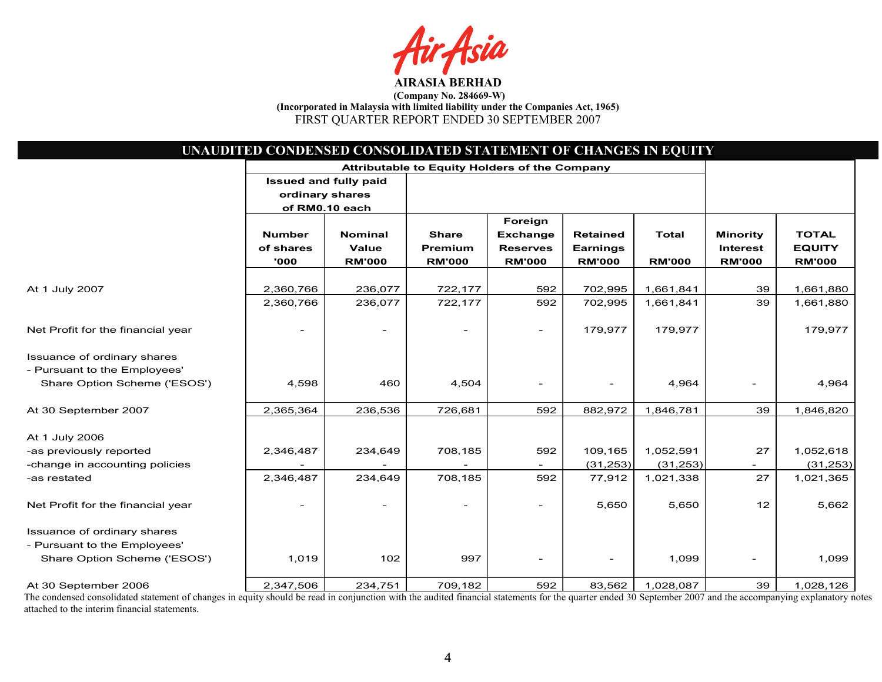sia

|                                   | UNAUDITED CONDENSED CONSOLIDATED STATEMENT OF CHANGES IN EQUITY |                |                                               |                          |                          |               |                 |               |
|-----------------------------------|-----------------------------------------------------------------|----------------|-----------------------------------------------|--------------------------|--------------------------|---------------|-----------------|---------------|
|                                   |                                                                 |                | Attributable to Equity Holders of the Company |                          |                          |               |                 |               |
|                                   | <b>Issued and fully paid</b>                                    |                |                                               |                          |                          |               |                 |               |
|                                   | ordinary shares                                                 |                |                                               |                          |                          |               |                 |               |
|                                   | of RM0.10 each                                                  |                |                                               |                          |                          |               |                 |               |
|                                   |                                                                 |                |                                               | Foreign                  |                          |               |                 |               |
|                                   | <b>Number</b>                                                   | <b>Nominal</b> | <b>Share</b>                                  | <b>Exchange</b>          | <b>Retained</b>          | <b>Total</b>  | <b>Minority</b> | <b>TOTAL</b>  |
|                                   | of shares                                                       | <b>Value</b>   | Premium                                       | <b>Reserves</b>          | <b>Earnings</b>          |               | <b>Interest</b> | <b>EQUITY</b> |
|                                   | '000                                                            | <b>RM'000</b>  | <b>RM'000</b>                                 | <b>RM'000</b>            | <b>RM'000</b>            | <b>RM'000</b> | <b>RM'000</b>   | <b>RM'000</b> |
|                                   |                                                                 |                |                                               |                          |                          |               |                 |               |
| At 1 July 2007                    | 2,360,766                                                       | 236,077        | 722,177                                       | 592                      | 702,995                  | 1,661,841     | 39              | 1,661,880     |
|                                   | 2,360,766                                                       | 236,077        | 722,177                                       | 592                      | 702,995                  | 1,661,841     | 39              | 1,661,880     |
| Net Profit for the financial year | $\overline{\phantom{a}}$                                        |                | $\overline{\phantom{0}}$                      | $\overline{\phantom{0}}$ | 179,977                  | 179,977       |                 | 179,977       |
| Issuance of ordinary shares       |                                                                 |                |                                               |                          |                          |               |                 |               |
| - Pursuant to the Employees'      |                                                                 |                |                                               |                          |                          |               |                 |               |
| Share Option Scheme ('ESOS')      | 4,598                                                           | 460            | 4,504                                         |                          | $\overline{\phantom{0}}$ | 4,964         |                 | 4,964         |
|                                   |                                                                 |                |                                               |                          |                          |               |                 |               |
| At 30 September 2007              | 2,365,364                                                       | 236,536        | 726,681                                       | 592                      | 882,972                  | 1,846,781     | 39              | 1,846,820     |
| At 1 July 2006                    |                                                                 |                |                                               |                          |                          |               |                 |               |
| -as previously reported           | 2,346,487                                                       | 234,649        | 708,185                                       | 592                      | 109,165                  | 1,052,591     | 27              | 1,052,618     |
| -change in accounting policies    |                                                                 |                |                                               |                          | (31, 253)                | (31, 253)     |                 | (31, 253)     |
| -as restated                      | 2,346,487                                                       | 234,649        | 708,185                                       | 592                      | 77,912                   | 1,021,338     | 27              | 1,021,365     |
|                                   |                                                                 |                |                                               |                          |                          |               |                 |               |
| Net Profit for the financial year |                                                                 |                |                                               |                          | 5,650                    | 5,650         | 12              | 5,662         |
| Issuance of ordinary shares       |                                                                 |                |                                               |                          |                          |               |                 |               |
| - Pursuant to the Employees'      |                                                                 |                |                                               |                          |                          |               |                 |               |
| Share Option Scheme ('ESOS')      | 1,019                                                           | 102            | 997                                           | $\overline{\phantom{a}}$ | $\overline{\phantom{0}}$ | 1,099         |                 | 1,099         |
|                                   |                                                                 |                |                                               |                          |                          |               |                 |               |
| At 30 September 2006              | 2,347,506                                                       | 234,751        | 709,182                                       | 592                      | 83,562                   | 1,028,087     | 39              | 1,028,126     |

The condensed consolidated statement of changes in equity should be read in conjunction with the audited financial statements for the quarter ended 30 September 2007 and the accompanying explanatory notes attached to the interim financial statements.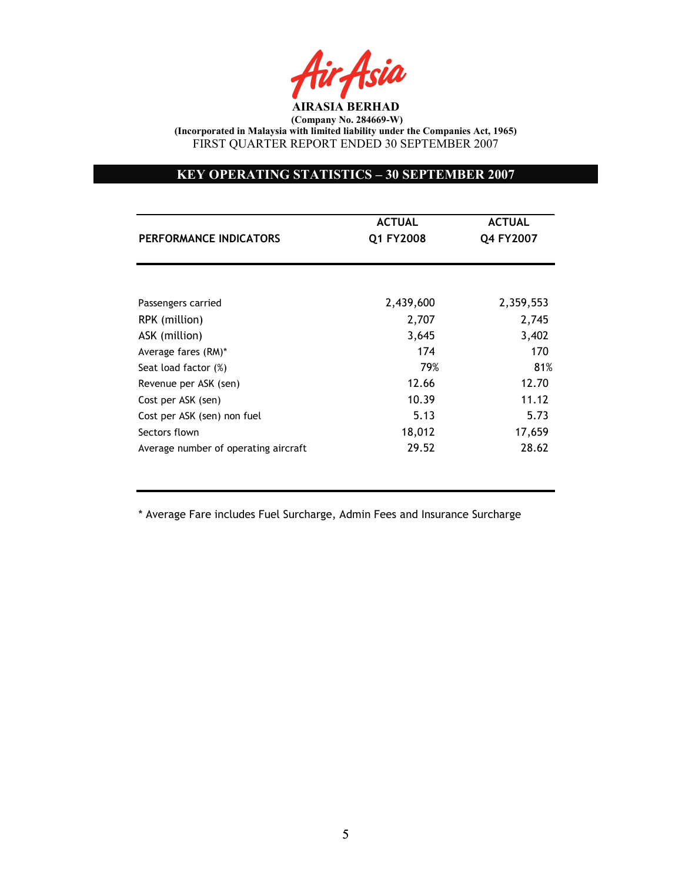

# KEY OPERATING STATISTICS – 30 SEPTEMBER 2007

|                                      | <b>ACTUAL</b> | <b>ACTUAL</b> |
|--------------------------------------|---------------|---------------|
| PERFORMANCE INDICATORS               | Q1 FY2008     | Q4 FY2007     |
|                                      |               |               |
| Passengers carried                   | 2,439,600     | 2,359,553     |
| RPK (million)                        | 2,707         | 2,745         |
| ASK (million)                        | 3,645         | 3,402         |
| Average fares (RM)*                  | 174           | 170           |
| Seat load factor (%)                 | 79%           | 81%           |
| Revenue per ASK (sen)                | 12.66         | 12.70         |
| Cost per ASK (sen)                   | 10.39         | 11.12         |
| Cost per ASK (sen) non fuel          | 5.13          | 5.73          |
| Sectors flown                        | 18,012        | 17,659        |
| Average number of operating aircraft | 29.52         | 28.62         |

\* Average Fare includes Fuel Surcharge, Admin Fees and Insurance Surcharge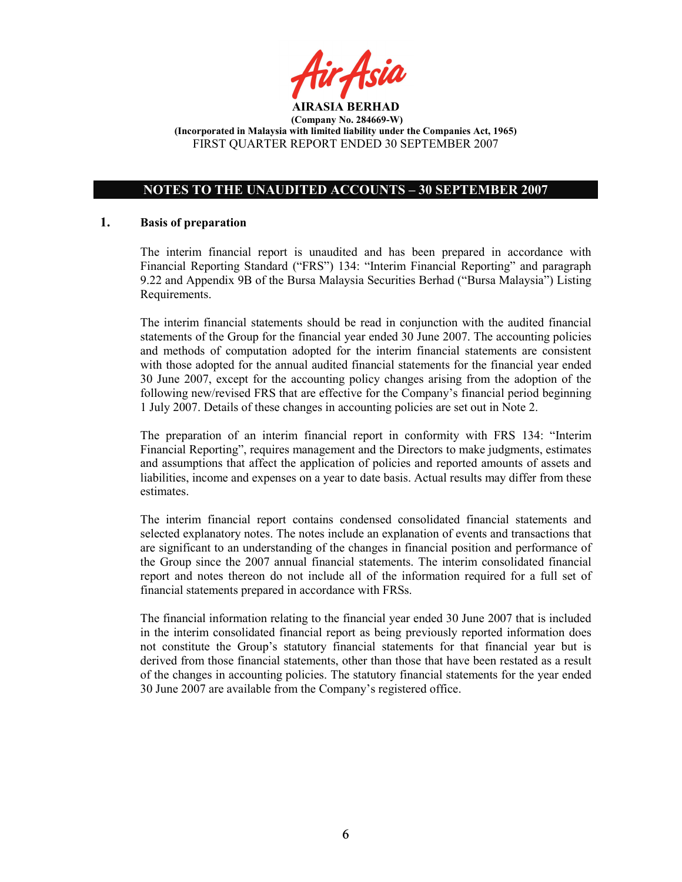

# NOTES TO THE UNAUDITED ACCOUNTS – 30 SEPTEMBER 2007

### 1. Basis of preparation

The interim financial report is unaudited and has been prepared in accordance with Financial Reporting Standard ("FRS") 134: "Interim Financial Reporting" and paragraph 9.22 and Appendix 9B of the Bursa Malaysia Securities Berhad ("Bursa Malaysia") Listing Requirements.

The interim financial statements should be read in conjunction with the audited financial statements of the Group for the financial year ended 30 June 2007. The accounting policies and methods of computation adopted for the interim financial statements are consistent with those adopted for the annual audited financial statements for the financial year ended 30 June 2007, except for the accounting policy changes arising from the adoption of the following new/revised FRS that are effective for the Company's financial period beginning 1 July 2007. Details of these changes in accounting policies are set out in Note 2.

The preparation of an interim financial report in conformity with FRS 134: "Interim Financial Reporting", requires management and the Directors to make judgments, estimates and assumptions that affect the application of policies and reported amounts of assets and liabilities, income and expenses on a year to date basis. Actual results may differ from these estimates.

The interim financial report contains condensed consolidated financial statements and selected explanatory notes. The notes include an explanation of events and transactions that are significant to an understanding of the changes in financial position and performance of the Group since the 2007 annual financial statements. The interim consolidated financial report and notes thereon do not include all of the information required for a full set of financial statements prepared in accordance with FRSs.

The financial information relating to the financial year ended 30 June 2007 that is included in the interim consolidated financial report as being previously reported information does not constitute the Group's statutory financial statements for that financial year but is derived from those financial statements, other than those that have been restated as a result of the changes in accounting policies. The statutory financial statements for the year ended 30 June 2007 are available from the Company's registered office.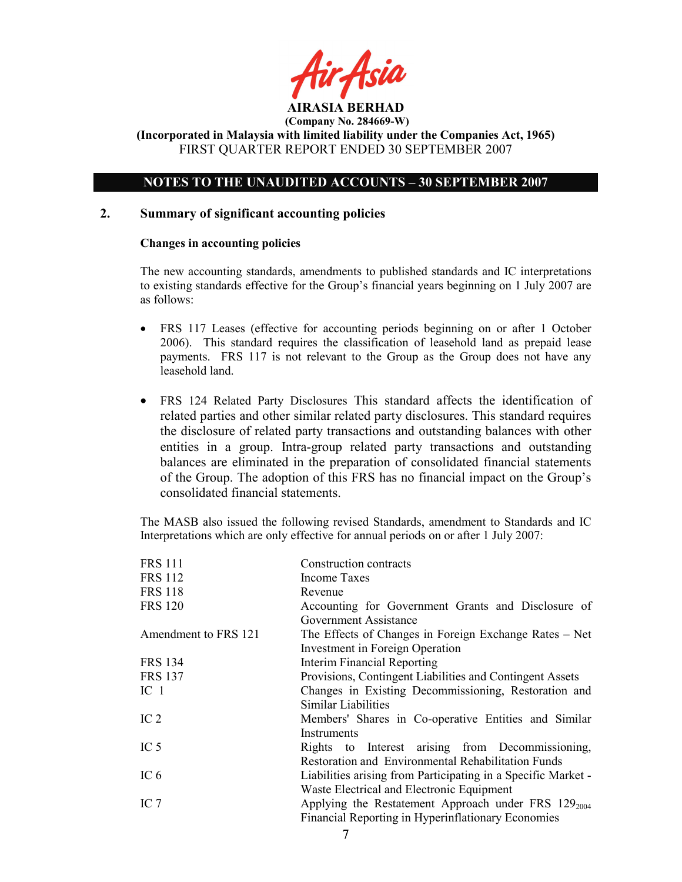

(Incorporated in Malaysia with limited liability under the Companies Act, 1965) FIRST QUARTER REPORT ENDED 30 SEPTEMBER 2007

# NOTES TO THE UNAUDITED ACCOUNTS – 30 SEPTEMBER 2007

### 2. Summary of significant accounting policies

#### Changes in accounting policies

The new accounting standards, amendments to published standards and IC interpretations to existing standards effective for the Group's financial years beginning on 1 July 2007 are as follows:

- FRS 117 Leases (effective for accounting periods beginning on or after 1 October 2006). This standard requires the classification of leasehold land as prepaid lease payments. FRS 117 is not relevant to the Group as the Group does not have any leasehold land.
- FRS 124 Related Party Disclosures This standard affects the identification of related parties and other similar related party disclosures. This standard requires the disclosure of related party transactions and outstanding balances with other entities in a group. Intra-group related party transactions and outstanding balances are eliminated in the preparation of consolidated financial statements of the Group. The adoption of this FRS has no financial impact on the Group's consolidated financial statements.

The MASB also issued the following revised Standards, amendment to Standards and IC Interpretations which are only effective for annual periods on or after 1 July 2007:

| <b>FRS 111</b>       | Construction contracts                                        |
|----------------------|---------------------------------------------------------------|
| <b>FRS 112</b>       | Income Taxes                                                  |
| <b>FRS 118</b>       | Revenue                                                       |
| <b>FRS 120</b>       | Accounting for Government Grants and Disclosure of            |
|                      | Government Assistance                                         |
| Amendment to FRS 121 | The Effects of Changes in Foreign Exchange Rates – Net        |
|                      | Investment in Foreign Operation                               |
| <b>FRS 134</b>       | Interim Financial Reporting                                   |
| <b>FRS 137</b>       | Provisions, Contingent Liabilities and Contingent Assets      |
| IC <sub>1</sub>      | Changes in Existing Decommissioning, Restoration and          |
|                      | Similar Liabilities                                           |
| IC <sub>2</sub>      | Members' Shares in Co-operative Entities and Similar          |
|                      | Instruments                                                   |
| IC <sub>5</sub>      | Rights to Interest arising from Decommissioning,              |
|                      | Restoration and Environmental Rehabilitation Funds            |
| IC $6$               | Liabilities arising from Participating in a Specific Market - |
|                      | Waste Electrical and Electronic Equipment                     |
| IC $7$               | Applying the Restatement Approach under FRS $129_{2004}$      |
|                      | Financial Reporting in Hyperinflationary Economies            |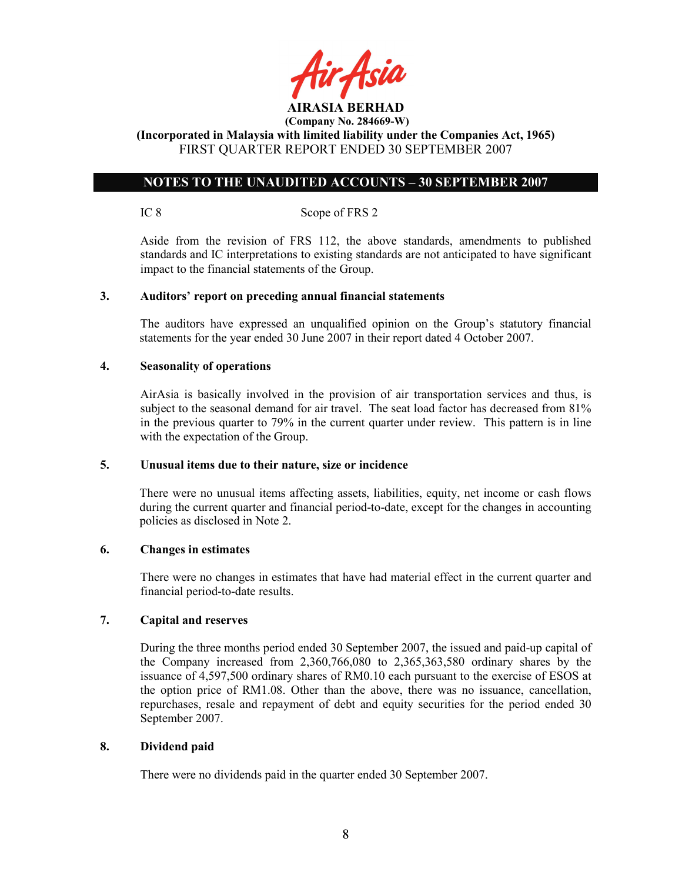

(Incorporated in Malaysia with limited liability under the Companies Act, 1965) FIRST QUARTER REPORT ENDED 30 SEPTEMBER 2007

# NOTES TO THE UNAUDITED ACCOUNTS – 30 SEPTEMBER 2007

IC 8 Scope of FRS 2

 Aside from the revision of FRS 112, the above standards, amendments to published standards and IC interpretations to existing standards are not anticipated to have significant impact to the financial statements of the Group.

### 3. Auditors' report on preceding annual financial statements

The auditors have expressed an unqualified opinion on the Group's statutory financial statements for the year ended 30 June 2007 in their report dated 4 October 2007.

### 4. Seasonality of operations

AirAsia is basically involved in the provision of air transportation services and thus, is subject to the seasonal demand for air travel. The seat load factor has decreased from 81% in the previous quarter to 79% in the current quarter under review. This pattern is in line with the expectation of the Group.

## 5. Unusual items due to their nature, size or incidence

There were no unusual items affecting assets, liabilities, equity, net income or cash flows during the current quarter and financial period-to-date, except for the changes in accounting policies as disclosed in Note 2.

#### 6. Changes in estimates

There were no changes in estimates that have had material effect in the current quarter and financial period-to-date results.

## 7. Capital and reserves

During the three months period ended 30 September 2007, the issued and paid-up capital of the Company increased from 2,360,766,080 to 2,365,363,580 ordinary shares by the issuance of 4,597,500 ordinary shares of RM0.10 each pursuant to the exercise of ESOS at the option price of RM1.08. Other than the above, there was no issuance, cancellation, repurchases, resale and repayment of debt and equity securities for the period ended 30 September 2007.

## 8. Dividend paid

There were no dividends paid in the quarter ended 30 September 2007.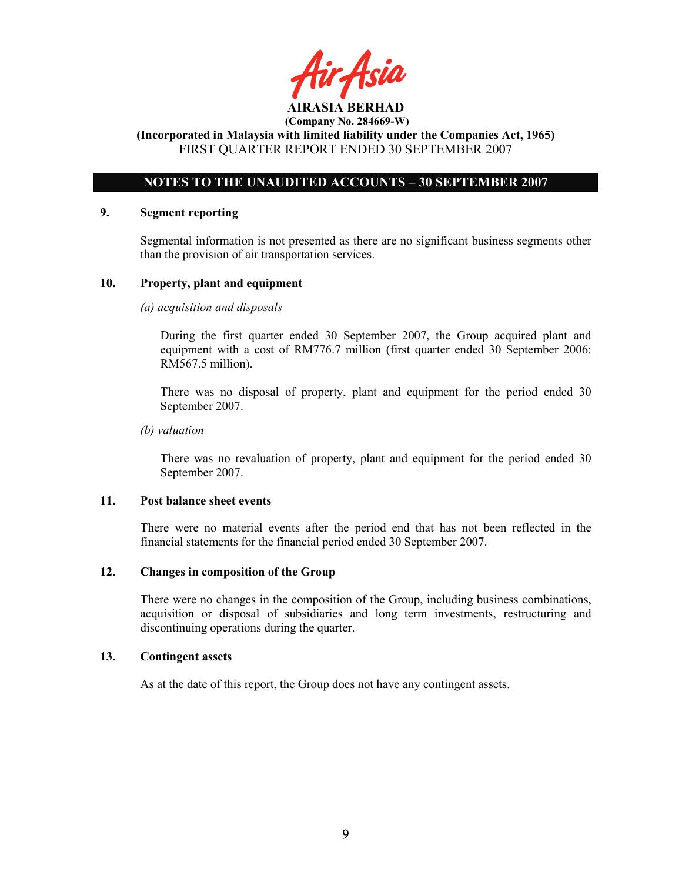ir Asia AIRASIA BERHAD

 (Company No. 284669-W) (Incorporated in Malaysia with limited liability under the Companies Act, 1965)

FIRST QUARTER REPORT ENDED 30 SEPTEMBER 2007

# NOTES TO THE UNAUDITED ACCOUNTS – 30 SEPTEMBER 2007

### 9. Segment reporting

Segmental information is not presented as there are no significant business segments other than the provision of air transportation services.

## 10. Property, plant and equipment

## (a) acquisition and disposals

During the first quarter ended 30 September 2007, the Group acquired plant and equipment with a cost of RM776.7 million (first quarter ended 30 September 2006: RM567.5 million).

There was no disposal of property, plant and equipment for the period ended 30 September 2007.

### (b) valuation

 There was no revaluation of property, plant and equipment for the period ended 30 September 2007.

## 11. Post balance sheet events

There were no material events after the period end that has not been reflected in the financial statements for the financial period ended 30 September 2007.

## 12. Changes in composition of the Group

There were no changes in the composition of the Group, including business combinations, acquisition or disposal of subsidiaries and long term investments, restructuring and discontinuing operations during the quarter.

## 13. Contingent assets

As at the date of this report, the Group does not have any contingent assets.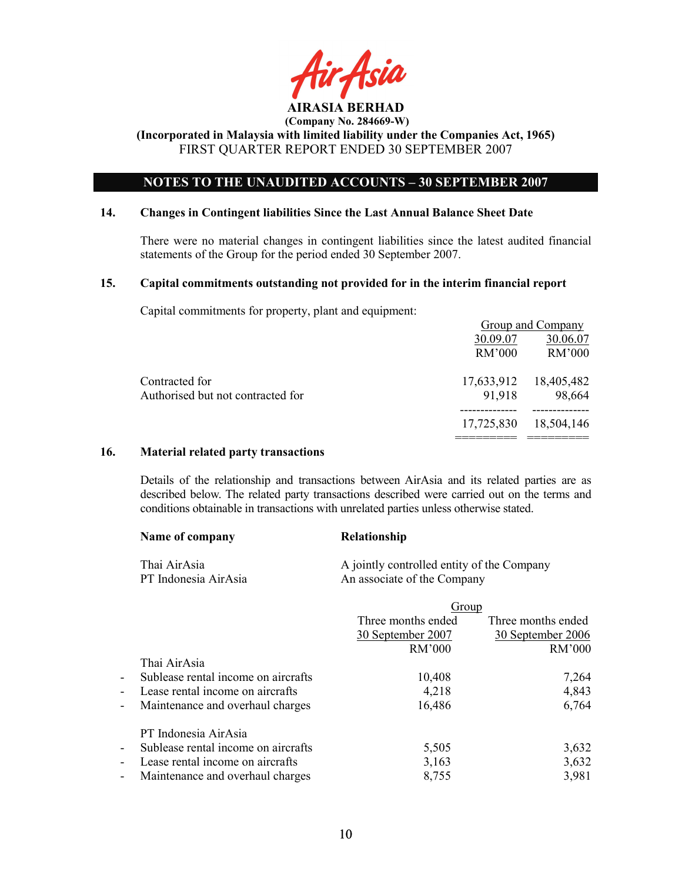

# NOTES TO THE UNAUDITED ACCOUNTS – 30 SEPTEMBER 2007

#### 14. Changes in Contingent liabilities Since the Last Annual Balance Sheet Date

There were no material changes in contingent liabilities since the latest audited financial statements of the Group for the period ended 30 September 2007.

### 15. Capital commitments outstanding not provided for in the interim financial report

Capital commitments for property, plant and equipment:

|                                   |            | Group and Company |
|-----------------------------------|------------|-------------------|
|                                   | 30.09.07   | 30.06.07          |
|                                   | RM'000     | RM'000            |
| Contracted for                    | 17,633,912 | 18,405,482        |
| Authorised but not contracted for | 91,918     | 98,664            |
|                                   | 17,725,830 | 18,504,146        |
|                                   |            |                   |

## 16. Material related party transactions

Details of the relationship and transactions between AirAsia and its related parties are as described below. The related party transactions described were carried out on the terms and conditions obtainable in transactions with unrelated parties unless otherwise stated.

| Name of company      | <b>Relationship</b>                        |
|----------------------|--------------------------------------------|
| Thai AirAsia         | A jointly controlled entity of the Company |
| PT Indonesia AirAsia | An associate of the Company                |

|                          |                                     | Group              |                    |
|--------------------------|-------------------------------------|--------------------|--------------------|
|                          |                                     | Three months ended | Three months ended |
|                          |                                     | 30 September 2007  | 30 September 2006  |
|                          |                                     | <b>RM'000</b>      | RM'000             |
|                          | Thai AirAsia                        |                    |                    |
| $\blacksquare$           | Sublease rental income on aircrafts | 10,408             | 7,264              |
| $\blacksquare$           | Lease rental income on aircrafts    | 4,218              | 4,843              |
| $\overline{\phantom{a}}$ | Maintenance and overhaul charges    | 16,486             | 6,764              |
|                          | PT Indonesia AirAsia                |                    |                    |
| $\blacksquare$           | Sublease rental income on aircrafts | 5,505              | 3,632              |
| $\blacksquare$           | Lease rental income on aircrafts    | 3,163              | 3,632              |
| $\overline{\phantom{a}}$ | Maintenance and overhaul charges    | 8,755              | 3,981              |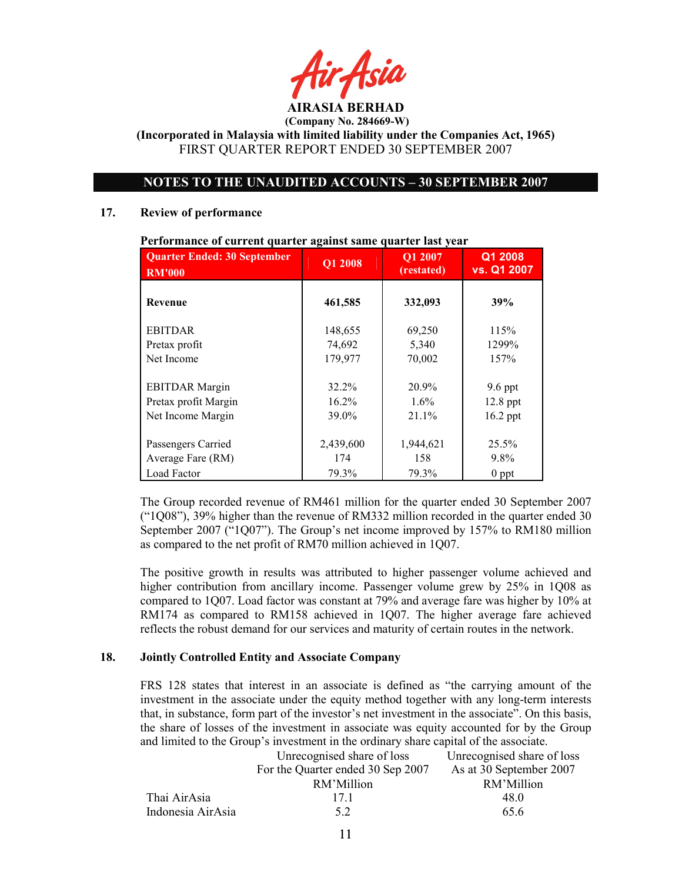AIRASIA BERHAD

 (Company No. 284669-W) (Incorporated in Malaysia with limited liability under the Companies Act, 1965)

FIRST QUARTER REPORT ENDED 30 SEPTEMBER 2007

# NOTES TO THE UNAUDITED ACCOUNTS – 30 SEPTEMBER 2007

### 17. Review of performance

| <b>Quarter Ended: 30 September</b><br><b>RM'000</b>                | Q1 2008                    | Q1 2007<br>(restated)     | Q1 2008<br>vs. Q1 2007                |
|--------------------------------------------------------------------|----------------------------|---------------------------|---------------------------------------|
| <b>Revenue</b>                                                     | 461,585                    | 332,093                   | 39%                                   |
| <b>EBITDAR</b>                                                     | 148,655                    | 69,250                    | 115%                                  |
| Pretax profit                                                      | 74,692                     | 5,340                     | 1299%                                 |
| Net Income                                                         | 179,977                    | 70,002                    | 157%                                  |
| <b>EBITDAR Margin</b><br>Pretax profit Margin<br>Net Income Margin | 32.2%<br>$16.2\%$<br>39.0% | 20.9%<br>$1.6\%$<br>21.1% | $9.6$ ppt<br>$12.8$ ppt<br>$16.2$ ppt |
| Passengers Carried<br>Average Fare (RM)<br>Load Factor             | 2,439,600<br>174<br>79.3%  | 1,944,621<br>158<br>79.3% | 25.5%<br>9.8%<br>$0$ ppt              |

Performance of current quarter against same quarter last year

The Group recorded revenue of RM461 million for the quarter ended 30 September 2007 ("1Q08"), 39% higher than the revenue of RM332 million recorded in the quarter ended 30 September 2007 ("1Q07"). The Group's net income improved by 157% to RM180 million as compared to the net profit of RM70 million achieved in 1Q07.

The positive growth in results was attributed to higher passenger volume achieved and higher contribution from ancillary income. Passenger volume grew by 25% in 1Q08 as compared to 1Q07. Load factor was constant at 79% and average fare was higher by 10% at RM174 as compared to RM158 achieved in 1Q07. The higher average fare achieved reflects the robust demand for our services and maturity of certain routes in the network.

# 18. Jointly Controlled Entity and Associate Company

FRS 128 states that interest in an associate is defined as "the carrying amount of the investment in the associate under the equity method together with any long-term interests that, in substance, form part of the investor's net investment in the associate". On this basis, the share of losses of the investment in associate was equity accounted for by the Group and limited to the Group's investment in the ordinary share capital of the associate.

|                   | Unrecognised share of loss        | Unrecognised share of loss |
|-------------------|-----------------------------------|----------------------------|
|                   | For the Quarter ended 30 Sep 2007 | As at 30 September 2007    |
|                   | RM'Million                        | RM'Million                 |
| Thai AirAsia      | 17 1                              | 48.0                       |
| Indonesia AirAsia | 52                                | 65.6                       |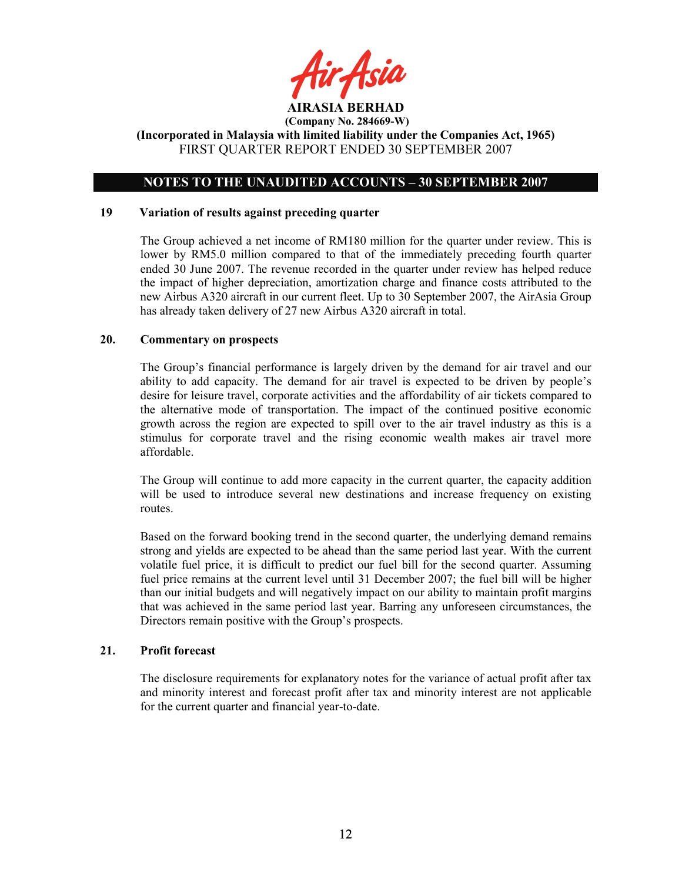

# NOTES TO THE UNAUDITED ACCOUNTS – 30 SEPTEMBER 2007

#### 19 Variation of results against preceding quarter

The Group achieved a net income of RM180 million for the quarter under review. This is lower by RM5.0 million compared to that of the immediately preceding fourth quarter ended 30 June 2007. The revenue recorded in the quarter under review has helped reduce the impact of higher depreciation, amortization charge and finance costs attributed to the new Airbus A320 aircraft in our current fleet. Up to 30 September 2007, the AirAsia Group has already taken delivery of 27 new Airbus A320 aircraft in total.

### 20. Commentary on prospects

The Group's financial performance is largely driven by the demand for air travel and our ability to add capacity. The demand for air travel is expected to be driven by people's desire for leisure travel, corporate activities and the affordability of air tickets compared to the alternative mode of transportation. The impact of the continued positive economic growth across the region are expected to spill over to the air travel industry as this is a stimulus for corporate travel and the rising economic wealth makes air travel more affordable.

The Group will continue to add more capacity in the current quarter, the capacity addition will be used to introduce several new destinations and increase frequency on existing routes.

Based on the forward booking trend in the second quarter, the underlying demand remains strong and yields are expected to be ahead than the same period last year. With the current volatile fuel price, it is difficult to predict our fuel bill for the second quarter. Assuming fuel price remains at the current level until 31 December 2007; the fuel bill will be higher than our initial budgets and will negatively impact on our ability to maintain profit margins that was achieved in the same period last year. Barring any unforeseen circumstances, the Directors remain positive with the Group's prospects.

#### 21. Profit forecast

The disclosure requirements for explanatory notes for the variance of actual profit after tax and minority interest and forecast profit after tax and minority interest are not applicable for the current quarter and financial year-to-date.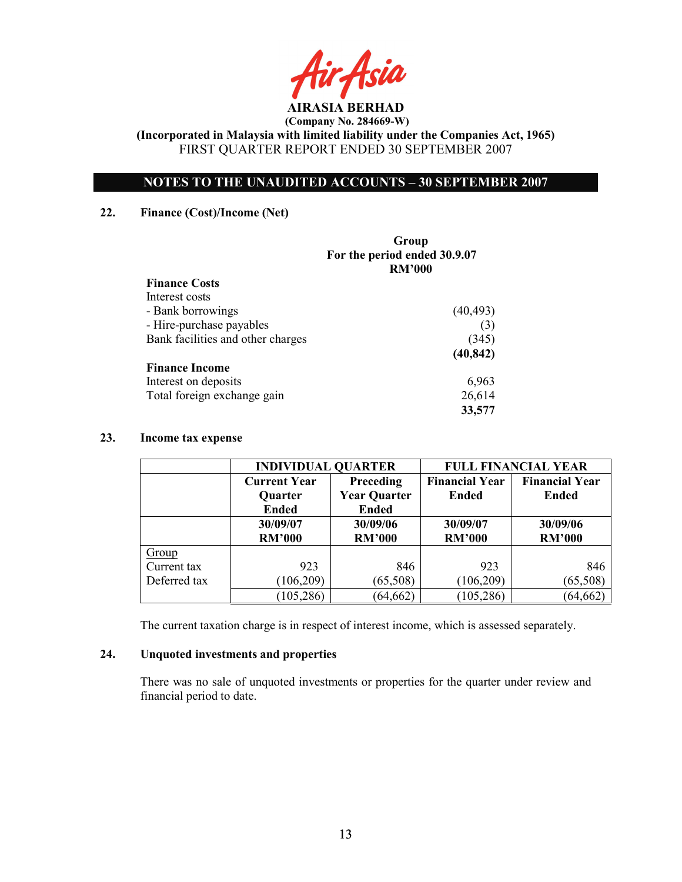# NOTES TO THE UNAUDITED ACCOUNTS – 30 SEPTEMBER 2007

### 22. Finance (Cost)/Income (Net)

|                                   | Group<br>For the period ended 30.9.07<br><b>RM'000</b> |
|-----------------------------------|--------------------------------------------------------|
| <b>Finance Costs</b>              |                                                        |
| Interest costs                    |                                                        |
| - Bank borrowings                 | (40, 493)                                              |
| - Hire-purchase payables          | (3)                                                    |
| Bank facilities and other charges | (345)                                                  |
|                                   | (40, 842)                                              |
| <b>Finance Income</b>             |                                                        |
| Interest on deposits              | 6,963                                                  |
| Total foreign exchange gain       | 26,614                                                 |
|                                   | 33,577                                                 |

## 23. Income tax expense

|              | <b>INDIVIDUAL QUARTER</b> |                     | <b>FULL FINANCIAL YEAR</b> |                       |  |
|--------------|---------------------------|---------------------|----------------------------|-----------------------|--|
|              | <b>Current Year</b>       | Preceding           | <b>Financial Year</b>      | <b>Financial Year</b> |  |
|              | Quarter                   | <b>Year Quarter</b> | <b>Ended</b>               | Ended                 |  |
|              | <b>Ended</b>              | <b>Ended</b>        |                            |                       |  |
|              | 30/09/07                  | 30/09/06            | 30/09/07                   | 30/09/06              |  |
|              | <b>RM'000</b>             | <b>RM'000</b>       | <b>RM'000</b>              | <b>RM'000</b>         |  |
| Group        |                           |                     |                            |                       |  |
| Current tax  | 923                       | 846                 | 923                        | 846                   |  |
| Deferred tax | (106, 209)                | (65,508)            | (106, 209)                 | (65,508)              |  |
|              | (105, 286)                | (64, 662)           | 105,286                    | (64, 662)             |  |

The current taxation charge is in respect of interest income, which is assessed separately.

### 24. Unquoted investments and properties

There was no sale of unquoted investments or properties for the quarter under review and financial period to date.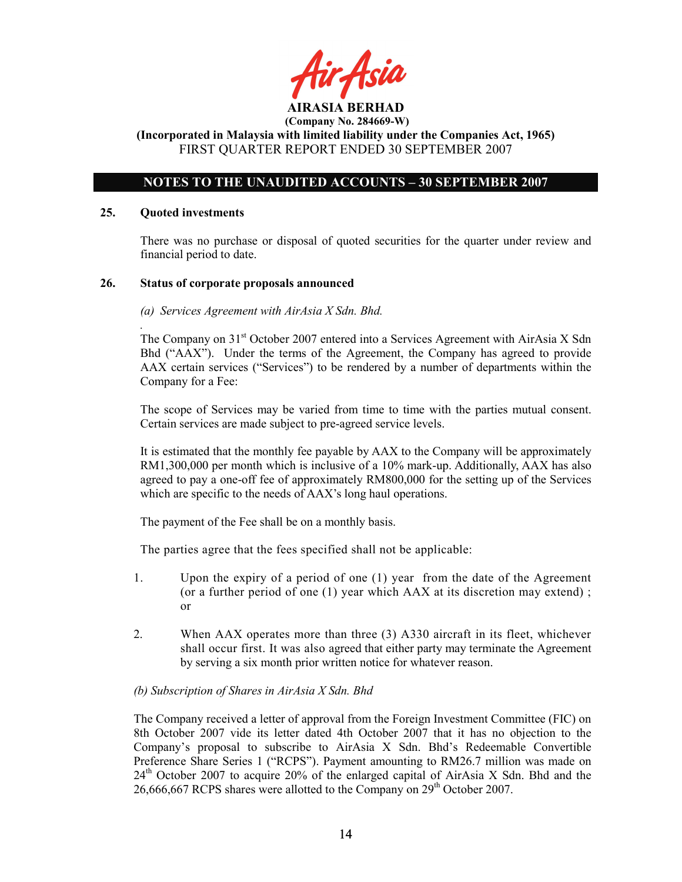fir<sub>t</sub>Asid

# NOTES TO THE UNAUDITED ACCOUNTS – 30 SEPTEMBER 2007

### 25. Quoted investments

There was no purchase or disposal of quoted securities for the quarter under review and financial period to date.

### 26. Status of corporate proposals announced

### (a) Services Agreement with AirAsia X Sdn. Bhd.

. The Company on 31<sup>st</sup> October 2007 entered into a Services Agreement with AirAsia X Sdn Bhd ("AAX"). Under the terms of the Agreement, the Company has agreed to provide AAX certain services ("Services") to be rendered by a number of departments within the Company for a Fee:

The scope of Services may be varied from time to time with the parties mutual consent. Certain services are made subject to pre-agreed service levels.

It is estimated that the monthly fee payable by AAX to the Company will be approximately RM1,300,000 per month which is inclusive of a 10% mark-up. Additionally, AAX has also agreed to pay a one-off fee of approximately RM800,000 for the setting up of the Services which are specific to the needs of AAX's long haul operations.

The payment of the Fee shall be on a monthly basis.

The parties agree that the fees specified shall not be applicable:

- 1. Upon the expiry of a period of one (1) year from the date of the Agreement (or a further period of one (1) year which AAX at its discretion may extend) ; or
- 2. When AAX operates more than three (3) A330 aircraft in its fleet, whichever shall occur first. It was also agreed that either party may terminate the Agreement by serving a six month prior written notice for whatever reason.

## (b) Subscription of Shares in AirAsia X Sdn. Bhd

The Company received a letter of approval from the Foreign Investment Committee (FIC) on 8th October 2007 vide its letter dated 4th October 2007 that it has no objection to the Company's proposal to subscribe to AirAsia X Sdn. Bhd's Redeemable Convertible Preference Share Series 1 ("RCPS"). Payment amounting to RM26.7 million was made on  $24<sup>th</sup>$  October 2007 to acquire 20% of the enlarged capital of AirAsia X Sdn. Bhd and the 26,666,667 RCPS shares were allotted to the Company on  $29<sup>th</sup>$  October 2007.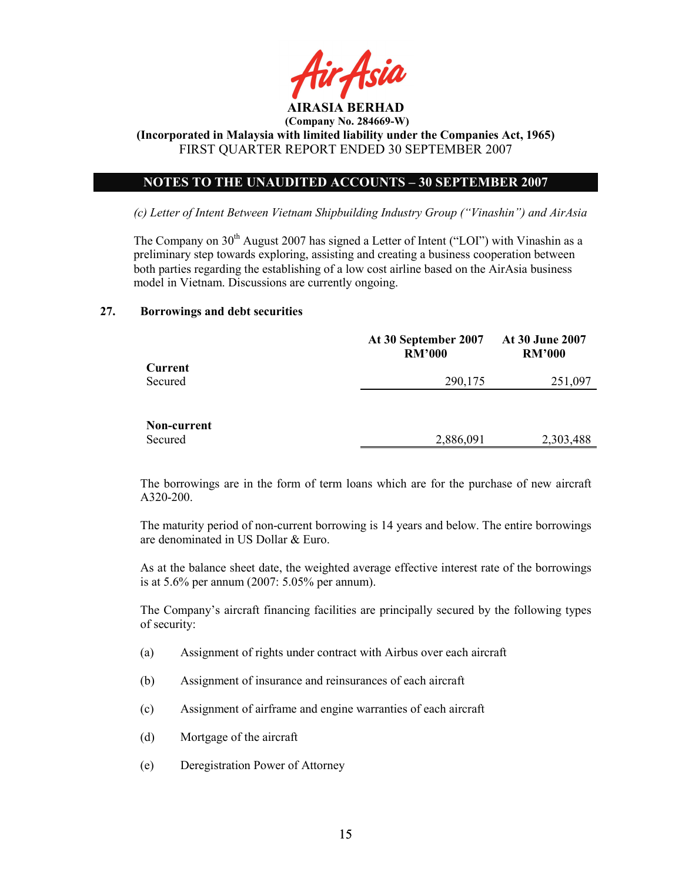

(Incorporated in Malaysia with limited liability under the Companies Act, 1965) FIRST QUARTER REPORT ENDED 30 SEPTEMBER 2007

# NOTES TO THE UNAUDITED ACCOUNTS – 30 SEPTEMBER 2007

(c) Letter of Intent Between Vietnam Shipbuilding Industry Group ("Vinashin") and AirAsia

The Company on  $30<sup>th</sup>$  August 2007 has signed a Letter of Intent ("LOI") with Vinashin as a preliminary step towards exploring, assisting and creating a business cooperation between both parties regarding the establishing of a low cost airline based on the AirAsia business model in Vietnam. Discussions are currently ongoing.

#### 27. Borrowings and debt securities

|             | At 30 September 2007<br><b>RM'000</b> | At 30 June 2007<br><b>RM'000</b> |
|-------------|---------------------------------------|----------------------------------|
| Current     |                                       |                                  |
| Secured     | 290,175                               | 251,097                          |
|             |                                       |                                  |
|             |                                       |                                  |
| Non-current |                                       |                                  |
| Secured     | 2,886,091                             | 2,303,488                        |

The borrowings are in the form of term loans which are for the purchase of new aircraft A320-200.

The maturity period of non-current borrowing is 14 years and below. The entire borrowings are denominated in US Dollar & Euro.

As at the balance sheet date, the weighted average effective interest rate of the borrowings is at 5.6% per annum (2007: 5.05% per annum).

The Company's aircraft financing facilities are principally secured by the following types of security:

- (a) Assignment of rights under contract with Airbus over each aircraft
- (b) Assignment of insurance and reinsurances of each aircraft
- (c) Assignment of airframe and engine warranties of each aircraft
- (d) Mortgage of the aircraft
- (e) Deregistration Power of Attorney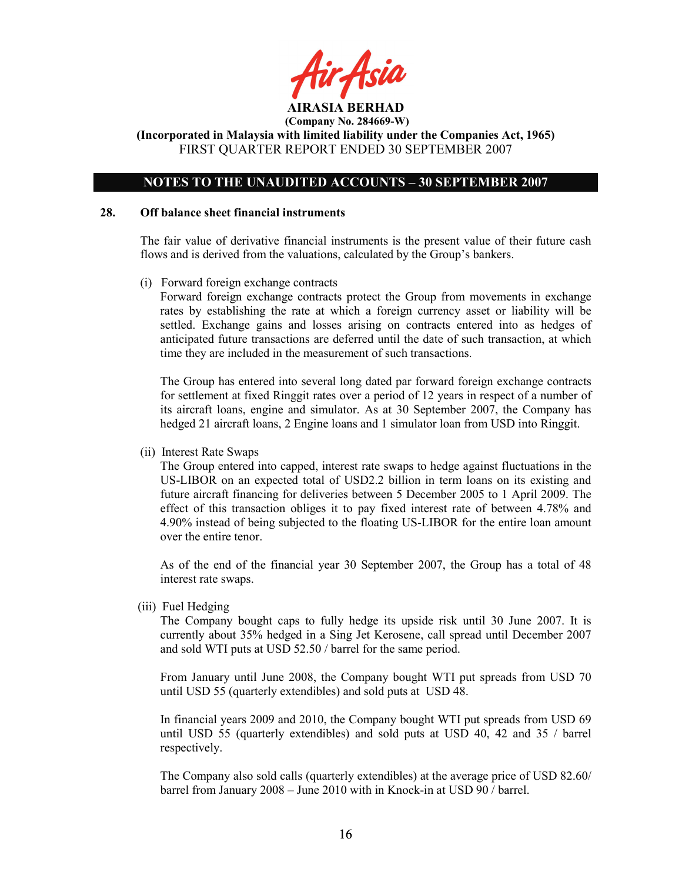

(Incorporated in Malaysia with limited liability under the Companies Act, 1965) FIRST QUARTER REPORT ENDED 30 SEPTEMBER 2007

## NOTES TO THE UNAUDITED ACCOUNTS – 30 SEPTEMBER 2007

#### 28. Off balance sheet financial instruments

 The fair value of derivative financial instruments is the present value of their future cash flows and is derived from the valuations, calculated by the Group's bankers.

(i) Forward foreign exchange contracts

 Forward foreign exchange contracts protect the Group from movements in exchange rates by establishing the rate at which a foreign currency asset or liability will be settled. Exchange gains and losses arising on contracts entered into as hedges of anticipated future transactions are deferred until the date of such transaction, at which time they are included in the measurement of such transactions.

The Group has entered into several long dated par forward foreign exchange contracts for settlement at fixed Ringgit rates over a period of 12 years in respect of a number of its aircraft loans, engine and simulator. As at 30 September 2007, the Company has hedged 21 aircraft loans, 2 Engine loans and 1 simulator loan from USD into Ringgit.

(ii) Interest Rate Swaps

The Group entered into capped, interest rate swaps to hedge against fluctuations in the US-LIBOR on an expected total of USD2.2 billion in term loans on its existing and future aircraft financing for deliveries between 5 December 2005 to 1 April 2009. The effect of this transaction obliges it to pay fixed interest rate of between 4.78% and 4.90% instead of being subjected to the floating US-LIBOR for the entire loan amount over the entire tenor.

As of the end of the financial year 30 September 2007, the Group has a total of 48 interest rate swaps.

(iii) Fuel Hedging

The Company bought caps to fully hedge its upside risk until 30 June 2007. It is currently about 35% hedged in a Sing Jet Kerosene, call spread until December 2007 and sold WTI puts at USD 52.50 / barrel for the same period.

From January until June 2008, the Company bought WTI put spreads from USD 70 until USD 55 (quarterly extendibles) and sold puts at USD 48.

In financial years 2009 and 2010, the Company bought WTI put spreads from USD 69 until USD 55 (quarterly extendibles) and sold puts at USD 40, 42 and 35 / barrel respectively.

The Company also sold calls (quarterly extendibles) at the average price of USD 82.60/ barrel from January 2008 – June 2010 with in Knock-in at USD 90 / barrel.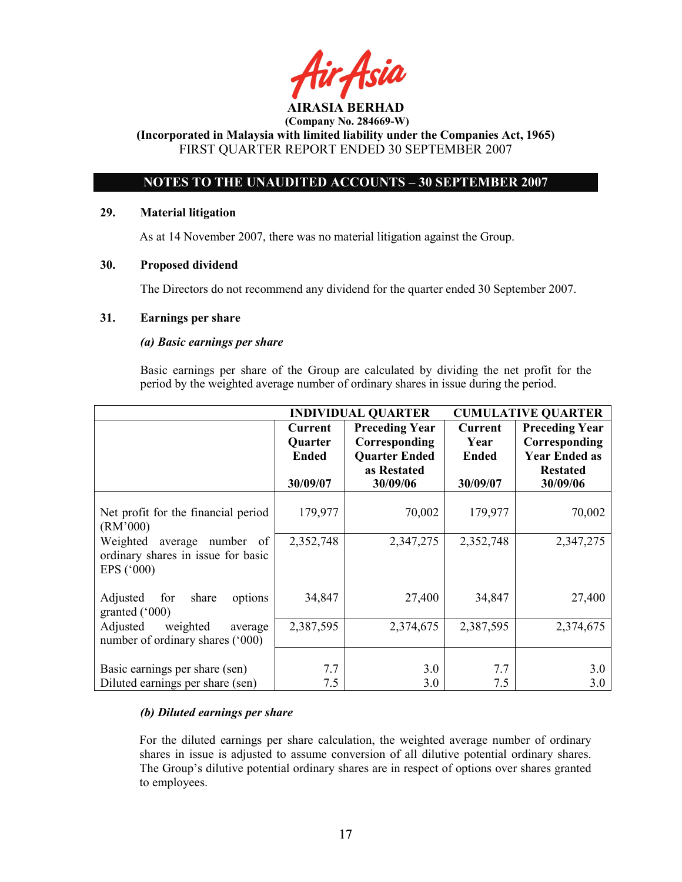AIRASIA BERHAD (Company No. 284669-W) (Incorporated in Malaysia with limited liability under the Companies Act, 1965)

FIRST QUARTER REPORT ENDED 30 SEPTEMBER 2007

# NOTES TO THE UNAUDITED ACCOUNTS – 30 SEPTEMBER 2007

# 29. Material litigation

As at 14 November 2007, there was no material litigation against the Group.

# 30. Proposed dividend

The Directors do not recommend any dividend for the quarter ended 30 September 2007.

# 31. Earnings per share

# (a) Basic earnings per share

 Basic earnings per share of the Group are calculated by dividing the net profit for the period by the weighted average number of ordinary shares in issue during the period.

|                                     | <b>INDIVIDUAL QUARTER</b> |                       | <b>CUMULATIVE QUARTER</b> |                       |
|-------------------------------------|---------------------------|-----------------------|---------------------------|-----------------------|
|                                     | <b>Current</b>            | <b>Preceding Year</b> | <b>Current</b>            | <b>Preceding Year</b> |
|                                     | <b>Quarter</b>            | Corresponding         | Year                      | Corresponding         |
|                                     | <b>Ended</b>              | <b>Quarter Ended</b>  | <b>Ended</b>              | <b>Year Ended as</b>  |
|                                     |                           | as Restated           |                           | <b>Restated</b>       |
|                                     | 30/09/07                  | 30/09/06              | 30/09/07                  | 30/09/06              |
|                                     |                           |                       |                           |                       |
| Net profit for the financial period | 179,977                   | 70,002                | 179,977                   | 70,002                |
| (RM'000)                            |                           |                       |                           |                       |
| Weighted<br>average<br>number<br>of | 2,352,748                 | 2,347,275             | 2,352,748                 | 2,347,275             |
| ordinary shares in issue for basic  |                           |                       |                           |                       |
| EPS ('000)                          |                           |                       |                           |                       |
|                                     |                           |                       |                           |                       |
| Adjusted<br>share<br>for<br>options | 34,847                    | 27,400                | 34,847                    | 27,400                |
| granted $(000)$                     |                           |                       |                           |                       |
| Adjusted<br>weighted<br>average     | 2,387,595                 | 2,374,675             | 2,387,595                 | 2,374,675             |
| number of ordinary shares ('000)    |                           |                       |                           |                       |
|                                     |                           |                       |                           |                       |
| Basic earnings per share (sen)      | 7.7                       | 3.0                   | 7.7                       | 3.0                   |
| Diluted earnings per share (sen)    | 7.5                       | 3.0                   | 7.5                       | 3.0                   |

# (b) Diluted earnings per share

For the diluted earnings per share calculation, the weighted average number of ordinary shares in issue is adjusted to assume conversion of all dilutive potential ordinary shares. The Group's dilutive potential ordinary shares are in respect of options over shares granted to employees.